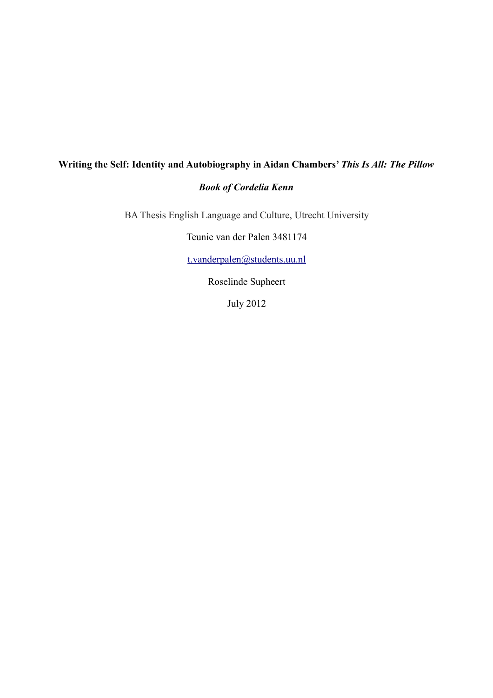# **Writing the Self: Identity and Autobiography in Aidan Chambers'** *This Is All: The Pillow Book of Cordelia Kenn*

BA Thesis English Language and Culture, Utrecht University

Teunie van der Palen 3481174

[t.vanderpalen@students.uu.nl](mailto:t.vanderpalen@students.uu.nl)

Roselinde Supheert

July 2012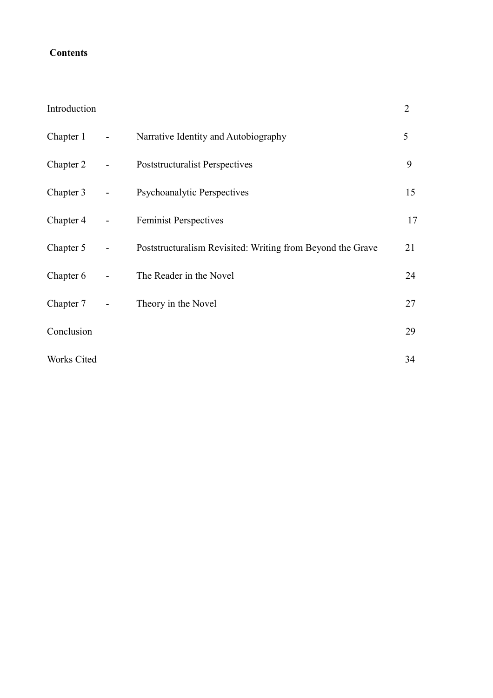# **Contents**

# Introduction 2

| Chapter 1   | $\blacksquare$                                    | Narrative Identity and Autobiography                       | 5  |
|-------------|---------------------------------------------------|------------------------------------------------------------|----|
| Chapter 2   | $\bullet$ . The set of $\mathcal{O}$              | Poststructuralist Perspectives                             | 9  |
| Chapter 3   | $\blacksquare$                                    | <b>Psychoanalytic Perspectives</b>                         | 15 |
| Chapter 4   | $\frac{1}{2}$ and $\frac{1}{2}$ and $\frac{1}{2}$ | <b>Feminist Perspectives</b>                               | 17 |
| Chapter 5   | $\overline{\phantom{0}}$                          | Poststructuralism Revisited: Writing from Beyond the Grave | 21 |
| Chapter 6   | $\blacksquare$                                    | The Reader in the Novel                                    | 24 |
| Chapter 7   | $\blacksquare$                                    | Theory in the Novel                                        | 27 |
| Conclusion  |                                                   |                                                            | 29 |
| Works Cited |                                                   |                                                            | 34 |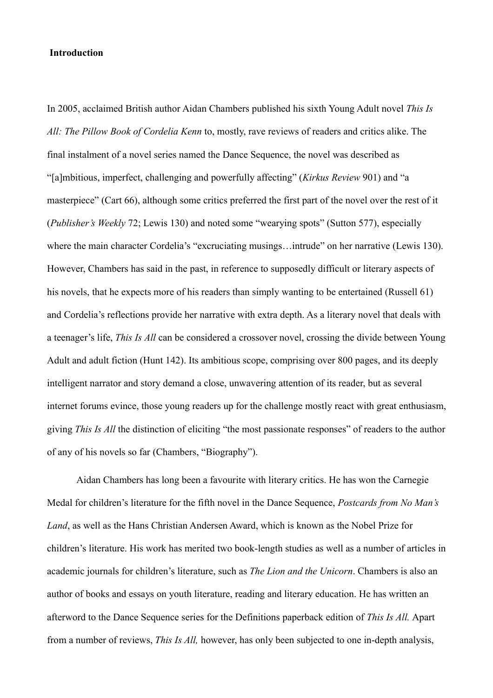# **Introduction**

In 2005, acclaimed British author Aidan Chambers published his sixth Young Adult novel *This Is All: The Pillow Book of Cordelia Kenn* to, mostly, rave reviews of readers and critics alike. The final instalment of a novel series named the Dance Sequence, the novel was described as "[a]mbitious, imperfect, challenging and powerfully affecting" (*Kirkus Review* 901) and "a masterpiece" (Cart 66), although some critics preferred the first part of the novel over the rest of it (*Publisher's Weekly* 72; Lewis 130) and noted some "wearying spots" (Sutton 577), especially where the main character Cordelia's "excruciating musings…intrude" on her narrative (Lewis 130). However, Chambers has said in the past, in reference to supposedly difficult or literary aspects of his novels, that he expects more of his readers than simply wanting to be entertained (Russell 61) and Cordelia's reflections provide her narrative with extra depth. As a literary novel that deals with a teenager's life, *This Is All* can be considered a crossover novel, crossing the divide between Young Adult and adult fiction (Hunt 142). Its ambitious scope, comprising over 800 pages, and its deeply intelligent narrator and story demand a close, unwavering attention of its reader, but as several internet forums evince, those young readers up for the challenge mostly react with great enthusiasm, giving *This Is All* the distinction of eliciting "the most passionate responses" of readers to the author of any of his novels so far (Chambers, "Biography").

 Aidan Chambers has long been a favourite with literary critics. He has won the Carnegie Medal for children's literature for the fifth novel in the Dance Sequence, *Postcards from No Man's Land*, as well as the Hans Christian Andersen Award, which is known as the Nobel Prize for children's literature. His work has merited two book-length studies as well as a number of articles in academic journals for children's literature, such as *The Lion and the Unicorn*. Chambers is also an author of books and essays on youth literature, reading and literary education. He has written an afterword to the Dance Sequence series for the Definitions paperback edition of *This Is All.* Apart from a number of reviews, *This Is All,* however, has only been subjected to one in-depth analysis,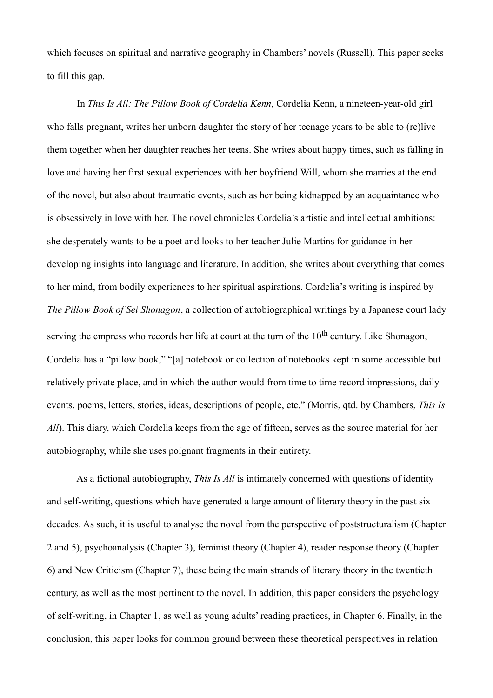which focuses on spiritual and narrative geography in Chambers' novels (Russell). This paper seeks to fill this gap.

 In *This Is All: The Pillow Book of Cordelia Kenn*, Cordelia Kenn, a nineteen-year-old girl who falls pregnant, writes her unborn daughter the story of her teenage years to be able to (re)live them together when her daughter reaches her teens. She writes about happy times, such as falling in love and having her first sexual experiences with her boyfriend Will, whom she marries at the end of the novel, but also about traumatic events, such as her being kidnapped by an acquaintance who is obsessively in love with her. The novel chronicles Cordelia's artistic and intellectual ambitions: she desperately wants to be a poet and looks to her teacher Julie Martins for guidance in her developing insights into language and literature. In addition, she writes about everything that comes to her mind, from bodily experiences to her spiritual aspirations. Cordelia's writing is inspired by *The Pillow Book of Sei Shonagon*, a collection of autobiographical writings by a Japanese court lady serving the empress who records her life at court at the turn of the 10<sup>th</sup> century. Like Shonagon, Cordelia has a "pillow book," "[a] notebook or collection of notebooks kept in some accessible but relatively private place, and in which the author would from time to time record impressions, daily events, poems, letters, stories, ideas, descriptions of people, etc." (Morris, qtd. by Chambers, *This Is All*). This diary, which Cordelia keeps from the age of fifteen, serves as the source material for her autobiography, while she uses poignant fragments in their entirety.

 As a fictional autobiography, *This Is All* is intimately concerned with questions of identity and self-writing, questions which have generated a large amount of literary theory in the past six decades. As such, it is useful to analyse the novel from the perspective of poststructuralism (Chapter 2 and 5), psychoanalysis (Chapter 3), feminist theory (Chapter 4), reader response theory (Chapter 6) and New Criticism (Chapter 7), these being the main strands of literary theory in the twentieth century, as well as the most pertinent to the novel. In addition, this paper considers the psychology of self-writing, in Chapter 1, as well as young adults' reading practices, in Chapter 6. Finally, in the conclusion, this paper looks for common ground between these theoretical perspectives in relation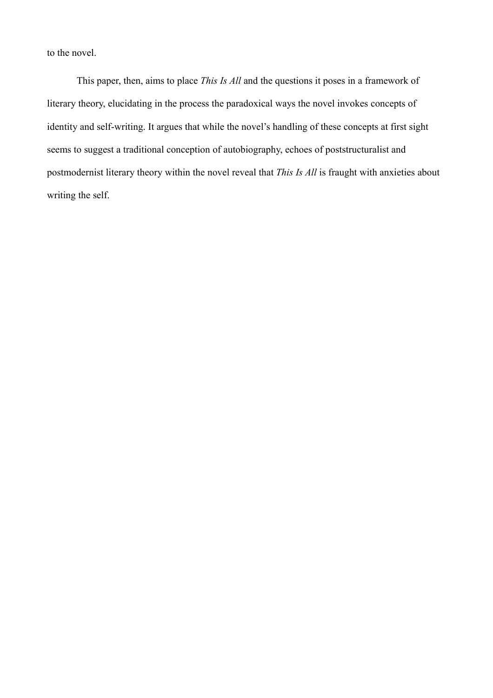to the novel.

 This paper, then, aims to place *This Is All* and the questions it poses in a framework of literary theory, elucidating in the process the paradoxical ways the novel invokes concepts of identity and self-writing. It argues that while the novel's handling of these concepts at first sight seems to suggest a traditional conception of autobiography, echoes of poststructuralist and postmodernist literary theory within the novel reveal that *This Is All* is fraught with anxieties about writing the self.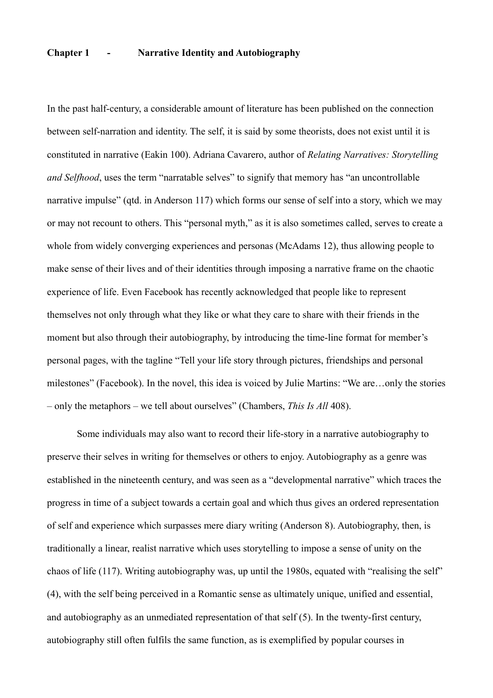# **Chapter 1 - Narrative Identity and Autobiography**

In the past half-century, a considerable amount of literature has been published on the connection between self-narration and identity. The self, it is said by some theorists, does not exist until it is constituted in narrative (Eakin 100). Adriana Cavarero, author of *Relating Narratives: Storytelling and Selfhood*, uses the term "narratable selves" to signify that memory has "an uncontrollable narrative impulse" (qtd. in Anderson 117) which forms our sense of self into a story, which we may or may not recount to others. This "personal myth," as it is also sometimes called, serves to create a whole from widely converging experiences and personas (McAdams 12), thus allowing people to make sense of their lives and of their identities through imposing a narrative frame on the chaotic experience of life. Even Facebook has recently acknowledged that people like to represent themselves not only through what they like or what they care to share with their friends in the moment but also through their autobiography, by introducing the time-line format for member's personal pages, with the tagline "Tell your life story through pictures, friendships and personal milestones" (Facebook). In the novel, this idea is voiced by Julie Martins: "We are…only the stories – only the metaphors – we tell about ourselves" (Chambers, *This Is All* 408).

 Some individuals may also want to record their life-story in a narrative autobiography to preserve their selves in writing for themselves or others to enjoy. Autobiography as a genre was established in the nineteenth century, and was seen as a "developmental narrative" which traces the progress in time of a subject towards a certain goal and which thus gives an ordered representation of self and experience which surpasses mere diary writing (Anderson 8). Autobiography, then, is traditionally a linear, realist narrative which uses storytelling to impose a sense of unity on the chaos of life (117). Writing autobiography was, up until the 1980s, equated with "realising the self" (4), with the self being perceived in a Romantic sense as ultimately unique, unified and essential, and autobiography as an unmediated representation of that self (5). In the twenty-first century, autobiography still often fulfils the same function, as is exemplified by popular courses in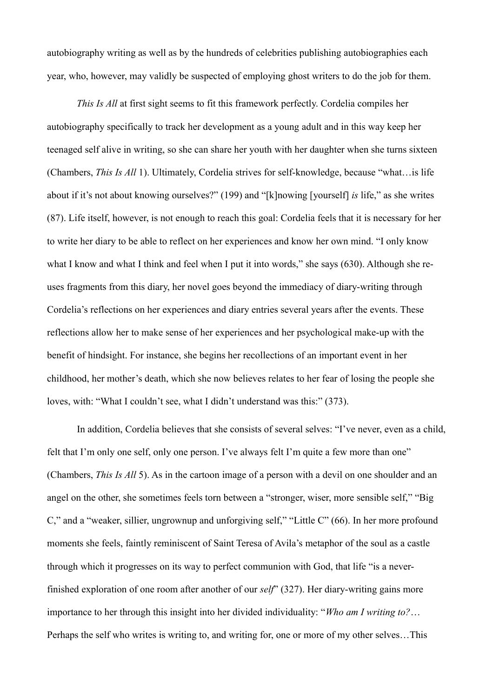autobiography writing as well as by the hundreds of celebrities publishing autobiographies each year, who, however, may validly be suspected of employing ghost writers to do the job for them.

*This Is All* at first sight seems to fit this framework perfectly. Cordelia compiles her autobiography specifically to track her development as a young adult and in this way keep her teenaged self alive in writing, so she can share her youth with her daughter when she turns sixteen (Chambers, *This Is All* 1). Ultimately, Cordelia strives for self-knowledge, because "what…is life about if it's not about knowing ourselves?" (199) and "[k]nowing [yourself] *is* life," as she writes (87). Life itself, however, is not enough to reach this goal: Cordelia feels that it is necessary for her to write her diary to be able to reflect on her experiences and know her own mind. "I only know what I know and what I think and feel when I put it into words," she says (630). Although she reuses fragments from this diary, her novel goes beyond the immediacy of diary-writing through Cordelia's reflections on her experiences and diary entries several years after the events. These reflections allow her to make sense of her experiences and her psychological make-up with the benefit of hindsight. For instance, she begins her recollections of an important event in her childhood, her mother's death, which she now believes relates to her fear of losing the people she loves, with: "What I couldn't see, what I didn't understand was this:" (373).

 In addition, Cordelia believes that she consists of several selves: "I've never, even as a child, felt that I'm only one self, only one person. I've always felt I'm quite a few more than one" (Chambers, *This Is All* 5). As in the cartoon image of a person with a devil on one shoulder and an angel on the other, she sometimes feels torn between a "stronger, wiser, more sensible self," "Big C," and a "weaker, sillier, ungrownup and unforgiving self," "Little C" (66). In her more profound moments she feels, faintly reminiscent of Saint Teresa of Avila's metaphor of the soul as a castle through which it progresses on its way to perfect communion with God, that life "is a neverfinished exploration of one room after another of our *self*" (327). Her diary-writing gains more importance to her through this insight into her divided individuality: "*Who am I writing to?*… Perhaps the self who writes is writing to, and writing for, one or more of my other selves…This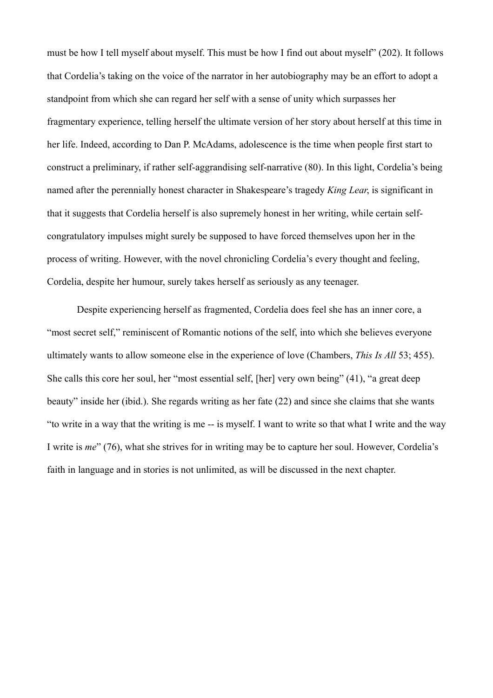must be how I tell myself about myself. This must be how I find out about myself" (202). It follows that Cordelia's taking on the voice of the narrator in her autobiography may be an effort to adopt a standpoint from which she can regard her self with a sense of unity which surpasses her fragmentary experience, telling herself the ultimate version of her story about herself at this time in her life. Indeed, according to Dan P. McAdams, adolescence is the time when people first start to construct a preliminary, if rather self-aggrandising self-narrative (80). In this light, Cordelia's being named after the perennially honest character in Shakespeare's tragedy *King Lear*, is significant in that it suggests that Cordelia herself is also supremely honest in her writing, while certain selfcongratulatory impulses might surely be supposed to have forced themselves upon her in the process of writing. However, with the novel chronicling Cordelia's every thought and feeling, Cordelia, despite her humour, surely takes herself as seriously as any teenager.

 Despite experiencing herself as fragmented, Cordelia does feel she has an inner core, a "most secret self," reminiscent of Romantic notions of the self, into which she believes everyone ultimately wants to allow someone else in the experience of love (Chambers, *This Is All* 53; 455). She calls this core her soul, her "most essential self, [her] very own being" (41), "a great deep beauty" inside her (ibid.). She regards writing as her fate (22) and since she claims that she wants "to write in a way that the writing is me -- is myself. I want to write so that what I write and the way I write is *me*" (76), what she strives for in writing may be to capture her soul. However, Cordelia's faith in language and in stories is not unlimited, as will be discussed in the next chapter.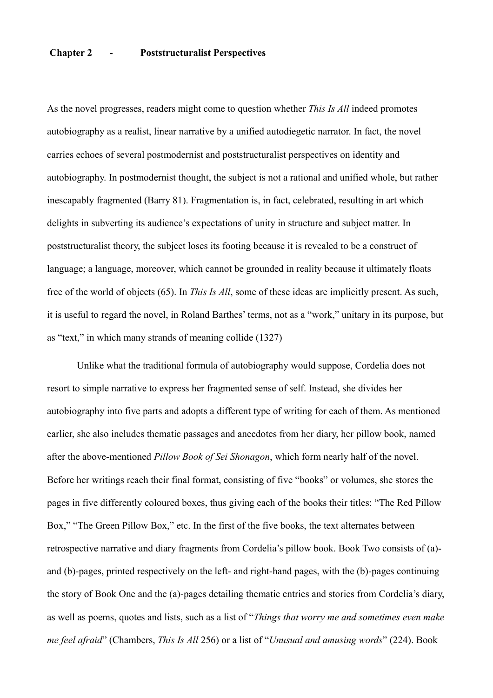# **Chapter 2 - Poststructuralist Perspectives**

As the novel progresses, readers might come to question whether *This Is All* indeed promotes autobiography as a realist, linear narrative by a unified autodiegetic narrator. In fact, the novel carries echoes of several postmodernist and poststructuralist perspectives on identity and autobiography. In postmodernist thought, the subject is not a rational and unified whole, but rather inescapably fragmented (Barry 81). Fragmentation is, in fact, celebrated, resulting in art which delights in subverting its audience's expectations of unity in structure and subject matter. In poststructuralist theory, the subject loses its footing because it is revealed to be a construct of language; a language, moreover, which cannot be grounded in reality because it ultimately floats free of the world of objects (65). In *This Is All*, some of these ideas are implicitly present. As such, it is useful to regard the novel, in Roland Barthes' terms, not as a "work," unitary in its purpose, but as "text," in which many strands of meaning collide (1327)

 Unlike what the traditional formula of autobiography would suppose, Cordelia does not resort to simple narrative to express her fragmented sense of self. Instead, she divides her autobiography into five parts and adopts a different type of writing for each of them. As mentioned earlier, she also includes thematic passages and anecdotes from her diary, her pillow book, named after the above-mentioned *Pillow Book of Sei Shonagon*, which form nearly half of the novel. Before her writings reach their final format, consisting of five "books" or volumes, she stores the pages in five differently coloured boxes, thus giving each of the books their titles: "The Red Pillow Box," "The Green Pillow Box," etc. In the first of the five books, the text alternates between retrospective narrative and diary fragments from Cordelia's pillow book. Book Two consists of (a) and (b)-pages, printed respectively on the left- and right-hand pages, with the (b)-pages continuing the story of Book One and the (a)-pages detailing thematic entries and stories from Cordelia's diary, as well as poems, quotes and lists, such as a list of "*Things that worry me and sometimes even make me feel afraid*" (Chambers, *This Is All* 256) or a list of "*Unusual and amusing words*" (224). Book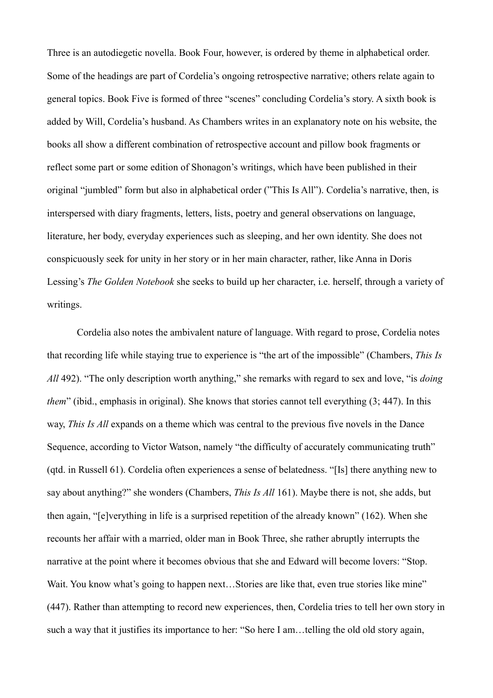Three is an autodiegetic novella. Book Four, however, is ordered by theme in alphabetical order. Some of the headings are part of Cordelia's ongoing retrospective narrative; others relate again to general topics. Book Five is formed of three "scenes" concluding Cordelia's story. A sixth book is added by Will, Cordelia's husband. As Chambers writes in an explanatory note on his website, the books all show a different combination of retrospective account and pillow book fragments or reflect some part or some edition of Shonagon's writings, which have been published in their original "jumbled" form but also in alphabetical order ("This Is All"). Cordelia's narrative, then, is interspersed with diary fragments, letters, lists, poetry and general observations on language, literature, her body, everyday experiences such as sleeping, and her own identity. She does not conspicuously seek for unity in her story or in her main character, rather, like Anna in Doris Lessing's *The Golden Notebook* she seeks to build up her character, i.e. herself, through a variety of writings.

 Cordelia also notes the ambivalent nature of language. With regard to prose, Cordelia notes that recording life while staying true to experience is "the art of the impossible" (Chambers, *This Is All* 492). "The only description worth anything," she remarks with regard to sex and love, "is *doing them*" (ibid., emphasis in original). She knows that stories cannot tell everything (3; 447). In this way, *This Is All* expands on a theme which was central to the previous five novels in the Dance Sequence, according to Victor Watson, namely "the difficulty of accurately communicating truth" (qtd. in Russell 61). Cordelia often experiences a sense of belatedness. "[Is] there anything new to say about anything?" she wonders (Chambers, *This Is All* 161). Maybe there is not, she adds, but then again, "[e]verything in life is a surprised repetition of the already known" (162). When she recounts her affair with a married, older man in Book Three, she rather abruptly interrupts the narrative at the point where it becomes obvious that she and Edward will become lovers: "Stop. Wait. You know what's going to happen next...Stories are like that, even true stories like mine" (447). Rather than attempting to record new experiences, then, Cordelia tries to tell her own story in such a way that it justifies its importance to her: "So here I am...telling the old old story again.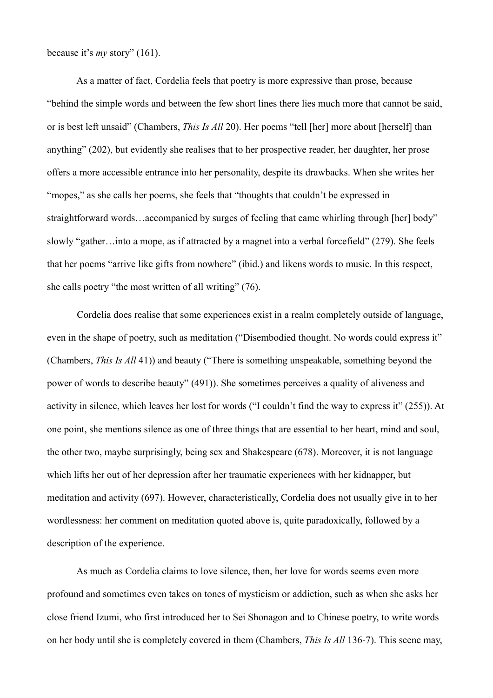because it's *my* story" (161).

 As a matter of fact, Cordelia feels that poetry is more expressive than prose, because "behind the simple words and between the few short lines there lies much more that cannot be said, or is best left unsaid" (Chambers, *This Is All* 20). Her poems "tell [her] more about [herself] than anything" (202), but evidently she realises that to her prospective reader, her daughter, her prose offers a more accessible entrance into her personality, despite its drawbacks. When she writes her "mopes," as she calls her poems, she feels that "thoughts that couldn't be expressed in straightforward words…accompanied by surges of feeling that came whirling through [her] body" slowly "gather…into a mope, as if attracted by a magnet into a verbal forcefield" (279). She feels that her poems "arrive like gifts from nowhere" (ibid.) and likens words to music. In this respect, she calls poetry "the most written of all writing" (76).

 Cordelia does realise that some experiences exist in a realm completely outside of language, even in the shape of poetry, such as meditation ("Disembodied thought. No words could express it" (Chambers, *This Is All* 41)) and beauty ("There is something unspeakable, something beyond the power of words to describe beauty" (491)). She sometimes perceives a quality of aliveness and activity in silence, which leaves her lost for words ("I couldn't find the way to express it" (255)). At one point, she mentions silence as one of three things that are essential to her heart, mind and soul, the other two, maybe surprisingly, being sex and Shakespeare (678). Moreover, it is not language which lifts her out of her depression after her traumatic experiences with her kidnapper, but meditation and activity (697). However, characteristically, Cordelia does not usually give in to her wordlessness: her comment on meditation quoted above is, quite paradoxically, followed by a description of the experience.

 As much as Cordelia claims to love silence, then, her love for words seems even more profound and sometimes even takes on tones of mysticism or addiction, such as when she asks her close friend Izumi, who first introduced her to Sei Shonagon and to Chinese poetry, to write words on her body until she is completely covered in them (Chambers, *This Is All* 136-7). This scene may,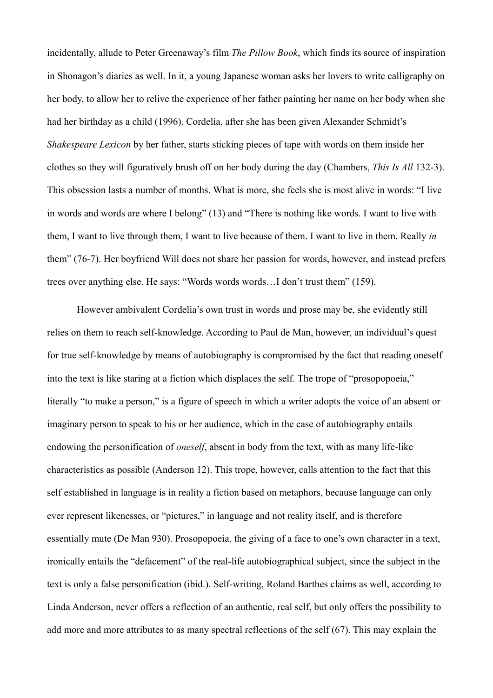incidentally, allude to Peter Greenaway's film *The Pillow Book*, which finds its source of inspiration in Shonagon's diaries as well. In it, a young Japanese woman asks her lovers to write calligraphy on her body, to allow her to relive the experience of her father painting her name on her body when she had her birthday as a child (1996). Cordelia, after she has been given Alexander Schmidt's *Shakespeare Lexicon* by her father, starts sticking pieces of tape with words on them inside her clothes so they will figuratively brush off on her body during the day (Chambers, *This Is All* 132-3). This obsession lasts a number of months. What is more, she feels she is most alive in words: "I live in words and words are where I belong" (13) and "There is nothing like words. I want to live with them, I want to live through them, I want to live because of them. I want to live in them. Really *in* them" (76-7). Her boyfriend Will does not share her passion for words, however, and instead prefers trees over anything else. He says: "Words words words…I don't trust them" (159).

 However ambivalent Cordelia's own trust in words and prose may be, she evidently still relies on them to reach self-knowledge. According to Paul de Man, however, an individual's quest for true self-knowledge by means of autobiography is compromised by the fact that reading oneself into the text is like staring at a fiction which displaces the self. The trope of "prosopopoeia," literally "to make a person," is a figure of speech in which a writer adopts the voice of an absent or imaginary person to speak to his or her audience, which in the case of autobiography entails endowing the personification of *oneself*, absent in body from the text, with as many life-like characteristics as possible (Anderson 12). This trope, however, calls attention to the fact that this self established in language is in reality a fiction based on metaphors, because language can only ever represent likenesses, or "pictures," in language and not reality itself, and is therefore essentially mute (De Man 930). Prosopopoeia, the giving of a face to one's own character in a text, ironically entails the "defacement" of the real-life autobiographical subject, since the subject in the text is only a false personification (ibid.). Self-writing, Roland Barthes claims as well, according to Linda Anderson, never offers a reflection of an authentic, real self, but only offers the possibility to add more and more attributes to as many spectral reflections of the self (67). This may explain the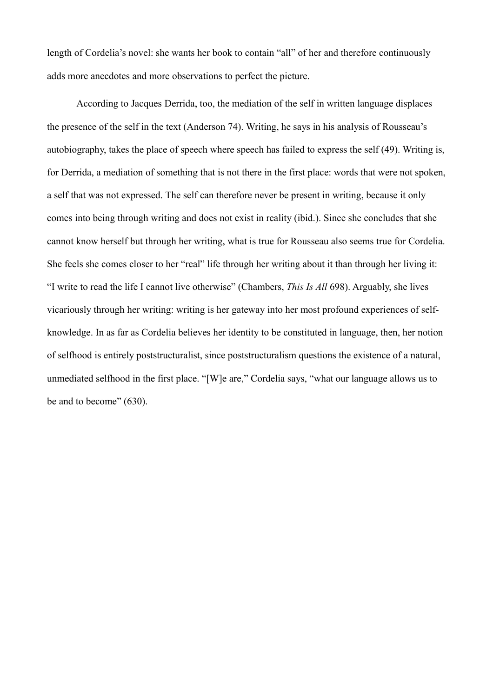length of Cordelia's novel: she wants her book to contain "all" of her and therefore continuously adds more anecdotes and more observations to perfect the picture.

 According to Jacques Derrida, too, the mediation of the self in written language displaces the presence of the self in the text (Anderson 74). Writing, he says in his analysis of Rousseau's autobiography, takes the place of speech where speech has failed to express the self (49). Writing is, for Derrida, a mediation of something that is not there in the first place: words that were not spoken, a self that was not expressed. The self can therefore never be present in writing, because it only comes into being through writing and does not exist in reality (ibid.). Since she concludes that she cannot know herself but through her writing, what is true for Rousseau also seems true for Cordelia. She feels she comes closer to her "real" life through her writing about it than through her living it: "I write to read the life I cannot live otherwise" (Chambers, *This Is All* 698). Arguably, she lives vicariously through her writing: writing is her gateway into her most profound experiences of selfknowledge. In as far as Cordelia believes her identity to be constituted in language, then, her notion of selfhood is entirely poststructuralist, since poststructuralism questions the existence of a natural, unmediated selfhood in the first place. "[W]e are," Cordelia says, "what our language allows us to be and to become" (630).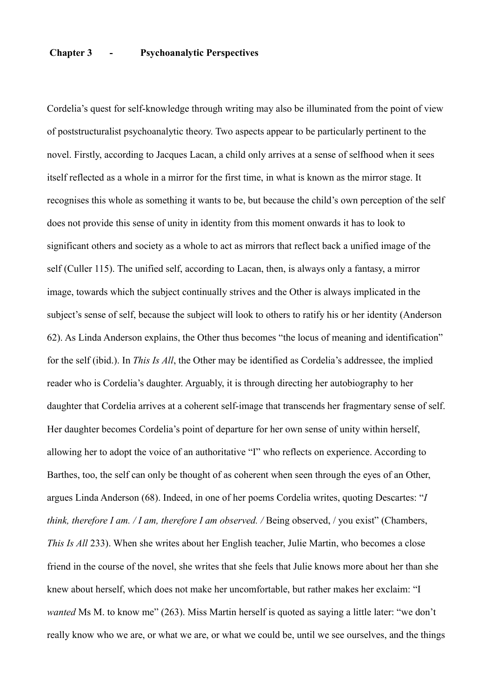# **Chapter 3 - Psychoanalytic Perspectives**

Cordelia's quest for self-knowledge through writing may also be illuminated from the point of view of poststructuralist psychoanalytic theory. Two aspects appear to be particularly pertinent to the novel. Firstly, according to Jacques Lacan, a child only arrives at a sense of selfhood when it sees itself reflected as a whole in a mirror for the first time, in what is known as the mirror stage. It recognises this whole as something it wants to be, but because the child's own perception of the self does not provide this sense of unity in identity from this moment onwards it has to look to significant others and society as a whole to act as mirrors that reflect back a unified image of the self (Culler 115). The unified self, according to Lacan, then, is always only a fantasy, a mirror image, towards which the subject continually strives and the Other is always implicated in the subject's sense of self, because the subject will look to others to ratify his or her identity (Anderson 62). As Linda Anderson explains, the Other thus becomes "the locus of meaning and identification" for the self (ibid.). In *This Is All*, the Other may be identified as Cordelia's addressee, the implied reader who is Cordelia's daughter. Arguably, it is through directing her autobiography to her daughter that Cordelia arrives at a coherent self-image that transcends her fragmentary sense of self. Her daughter becomes Cordelia's point of departure for her own sense of unity within herself, allowing her to adopt the voice of an authoritative "I" who reflects on experience. According to Barthes, too, the self can only be thought of as coherent when seen through the eyes of an Other, argues Linda Anderson (68). Indeed, in one of her poems Cordelia writes, quoting Descartes: "*I think, therefore I am. / I am, therefore I am observed. /* Being observed, / you exist" (Chambers, *This Is All* 233). When she writes about her English teacher, Julie Martin, who becomes a close friend in the course of the novel, she writes that she feels that Julie knows more about her than she knew about herself, which does not make her uncomfortable, but rather makes her exclaim: "I *wanted* Ms M, to know me" (263). Miss Martin herself is quoted as saying a little later: "we don't really know who we are, or what we are, or what we could be, until we see ourselves, and the things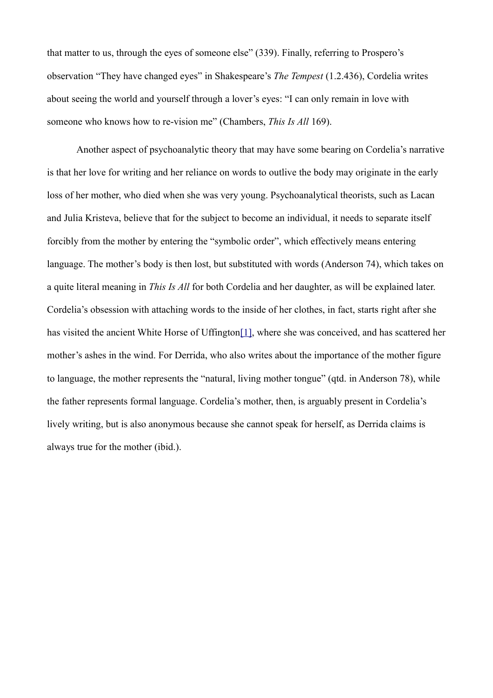that matter to us, through the eyes of someone else" (339). Finally, referring to Prospero's observation "They have changed eyes" in Shakespeare's *The Tempest* (1.2.436), Cordelia writes about seeing the world and yourself through a lover's eyes: "I can only remain in love with someone who knows how to re-vision me" (Chambers, *This Is All* 169).

<span id="page-14-0"></span> Another aspect of psychoanalytic theory that may have some bearing on Cordelia's narrative is that her love for writing and her reliance on words to outlive the body may originate in the early loss of her mother, who died when she was very young. Psychoanalytical theorists, such as Lacan and Julia Kristeva, believe that for the subject to become an individual, it needs to separate itself forcibly from the mother by entering the "symbolic order", which effectively means entering language. The mother's body is then lost, but substituted with words (Anderson 74), which takes on a quite literal meaning in *This Is All* for both Cordelia and her daughter, as will be explained later. Cordelia's obsession with attaching words to the inside of her clothes, in fact, starts right after she has visited the ancient White Horse of Uffington<sup>[1]</sup>, where she was conceived, and has scattered her mother's ashes in the wind. For Derrida, who also writes about the importance of the mother figure to language, the mother represents the "natural, living mother tongue" (qtd. in Anderson 78), while the father represents formal language. Cordelia's mother, then, is arguably present in Cordelia's lively writing, but is also anonymous because she cannot speak for herself, as Derrida claims is always true for the mother (ibid.).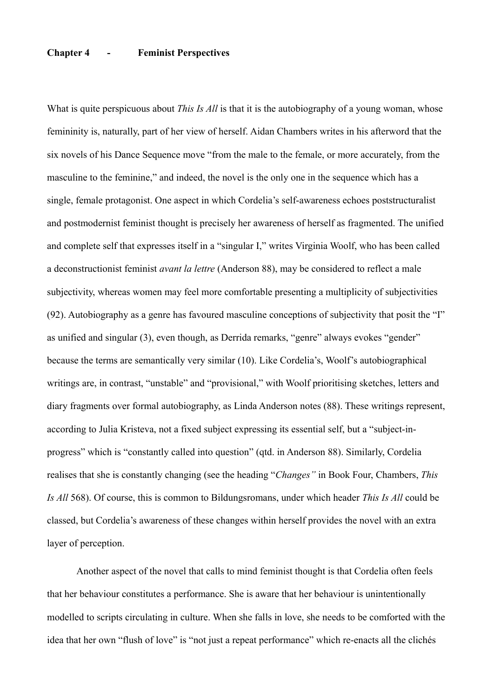# **Chapter 4 - Feminist Perspectives**

What is quite perspicuous about *This Is All* is that it is the autobiography of a young woman, whose femininity is, naturally, part of her view of herself. Aidan Chambers writes in his afterword that the six novels of his Dance Sequence move "from the male to the female, or more accurately, from the masculine to the feminine," and indeed, the novel is the only one in the sequence which has a single, female protagonist. One aspect in which Cordelia's self-awareness echoes poststructuralist and postmodernist feminist thought is precisely her awareness of herself as fragmented. The unified and complete self that expresses itself in a "singular I," writes Virginia Woolf, who has been called a deconstructionist feminist *avant la lettre* (Anderson 88), may be considered to reflect a male subjectivity, whereas women may feel more comfortable presenting a multiplicity of subjectivities (92). Autobiography as a genre has favoured masculine conceptions of subjectivity that posit the "I" as unified and singular (3), even though, as Derrida remarks, "genre" always evokes "gender" because the terms are semantically very similar (10). Like Cordelia's, Woolf's autobiographical writings are, in contrast, "unstable" and "provisional," with Woolf prioritising sketches, letters and diary fragments over formal autobiography, as Linda Anderson notes (88). These writings represent, according to Julia Kristeva, not a fixed subject expressing its essential self, but a "subject-inprogress" which is "constantly called into question" (qtd. in Anderson 88). Similarly, Cordelia realises that she is constantly changing (see the heading "*Changes"* in Book Four, Chambers, *This Is All* 568). Of course, this is common to Bildungsromans, under which header *This Is All* could be classed, but Cordelia's awareness of these changes within herself provides the novel with an extra layer of perception.

 Another aspect of the novel that calls to mind feminist thought is that Cordelia often feels that her behaviour constitutes a performance. She is aware that her behaviour is unintentionally modelled to scripts circulating in culture. When she falls in love, she needs to be comforted with the idea that her own "flush of love" is "not just a repeat performance" which re-enacts all the clichés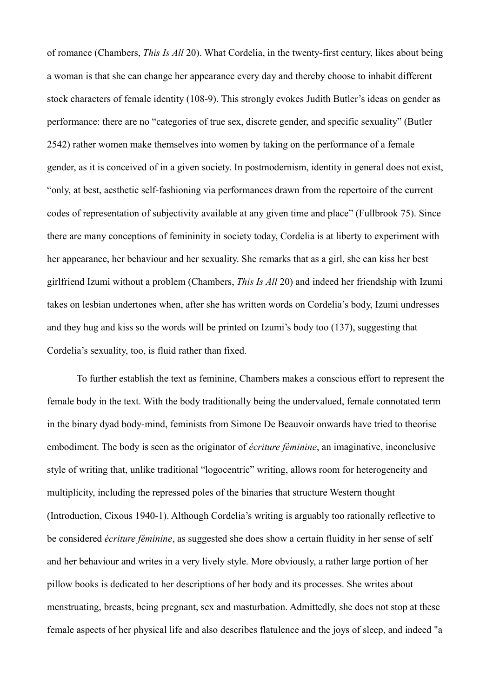of romance (Chambers, *This Is All* 20). What Cordelia, in the twenty-first century, likes about being a woman is that she can change her appearance every day and thereby choose to inhabit different stock characters of female identity (108-9). This strongly evokes Judith Butler's ideas on gender as performance: there are no "categories of true sex, discrete gender, and specific sexuality" (Butler 2542) rather women make themselves into women by taking on the performance of a female gender, as it is conceived of in a given society. In postmodernism, identity in general does not exist, "only, at best, aesthetic self-fashioning via performances drawn from the repertoire of the current codes of representation of subjectivity available at any given time and place" (Fullbrook 75). Since there are many conceptions of femininity in society today, Cordelia is at liberty to experiment with her appearance, her behaviour and her sexuality. She remarks that as a girl, she can kiss her best girlfriend Izumi without a problem (Chambers, *This Is All* 20) and indeed her friendship with Izumi takes on lesbian undertones when, after she has written words on Cordelia's body, Izumi undresses and they hug and kiss so the words will be printed on Izumi's body too (137), suggesting that Cordelia's sexuality, too, is fluid rather than fixed.

 To further establish the text as feminine, Chambers makes a conscious effort to represent the female body in the text. With the body traditionally being the undervalued, female connotated term in the binary dyad body-mind, feminists from Simone De Beauvoir onwards have tried to theorise embodiment. The body is seen as the originator of *écriture féminine*, an imaginative, inconclusive style of writing that, unlike traditional "logocentric" writing, allows room for heterogeneity and multiplicity, including the repressed poles of the binaries that structure Western thought (Introduction, Cixous 1940-1). Although Cordelia's writing is arguably too rationally reflective to be considered *écriture féminine*, as suggested she does show a certain fluidity in her sense of self and her behaviour and writes in a very lively style. More obviously, a rather large portion of her pillow books is dedicated to her descriptions of her body and its processes. She writes about menstruating, breasts, being pregnant, sex and masturbation. Admittedly, she does not stop at these female aspects of her physical life and also describes flatulence and the joys of sleep, and indeed "a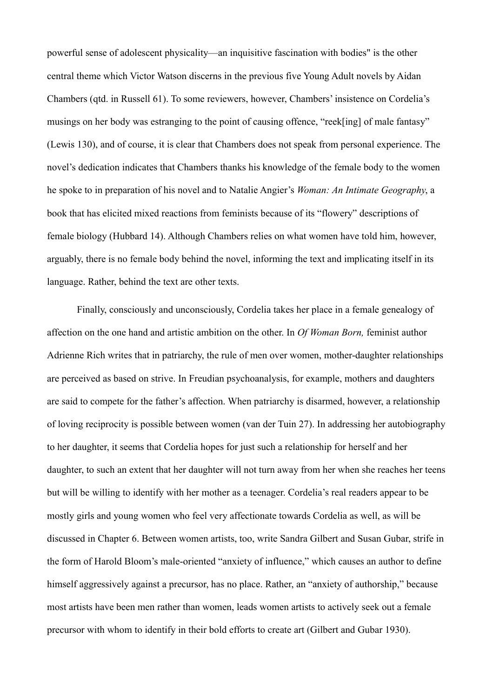powerful sense of adolescent physicality—an inquisitive fascination with bodies" is the other central theme which Victor Watson discerns in the previous five Young Adult novels by Aidan Chambers (qtd. in Russell 61). To some reviewers, however, Chambers' insistence on Cordelia's musings on her body was estranging to the point of causing offence, "reek[ing] of male fantasy" (Lewis 130), and of course, it is clear that Chambers does not speak from personal experience. The novel's dedication indicates that Chambers thanks his knowledge of the female body to the women he spoke to in preparation of his novel and to Natalie Angier's *Woman: An Intimate Geography*, a book that has elicited mixed reactions from feminists because of its "flowery" descriptions of female biology (Hubbard 14). Although Chambers relies on what women have told him, however, arguably, there is no female body behind the novel, informing the text and implicating itself in its language. Rather, behind the text are other texts.

 Finally, consciously and unconsciously, Cordelia takes her place in a female genealogy of affection on the one hand and artistic ambition on the other. In *Of Woman Born,* feminist author Adrienne Rich writes that in patriarchy, the rule of men over women, mother-daughter relationships are perceived as based on strive. In Freudian psychoanalysis, for example, mothers and daughters are said to compete for the father's affection. When patriarchy is disarmed, however, a relationship of loving reciprocity is possible between women (van der Tuin 27). In addressing her autobiography to her daughter, it seems that Cordelia hopes for just such a relationship for herself and her daughter, to such an extent that her daughter will not turn away from her when she reaches her teens but will be willing to identify with her mother as a teenager. Cordelia's real readers appear to be mostly girls and young women who feel very affectionate towards Cordelia as well, as will be discussed in Chapter 6. Between women artists, too, write Sandra Gilbert and Susan Gubar, strife in the form of Harold Bloom's male-oriented "anxiety of influence," which causes an author to define himself aggressively against a precursor, has no place. Rather, an "anxiety of authorship," because most artists have been men rather than women, leads women artists to actively seek out a female precursor with whom to identify in their bold efforts to create art (Gilbert and Gubar 1930).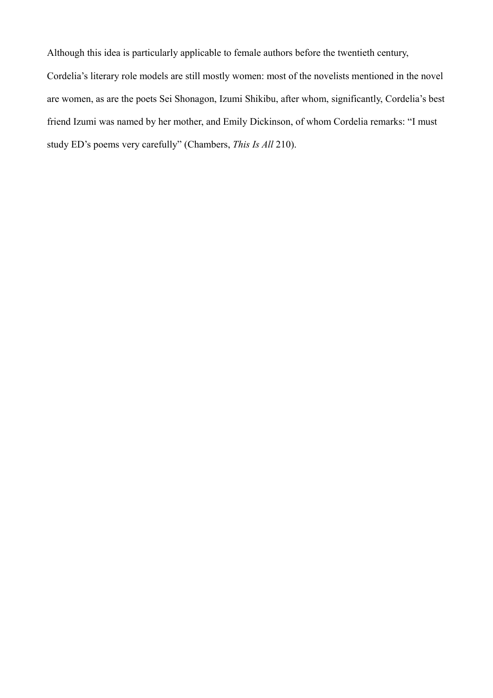Although this idea is particularly applicable to female authors before the twentieth century,

Cordelia's literary role models are still mostly women: most of the novelists mentioned in the novel are women, as are the poets Sei Shonagon, Izumi Shikibu, after whom, significantly, Cordelia's best friend Izumi was named by her mother, and Emily Dickinson, of whom Cordelia remarks: "I must study ED's poems very carefully" (Chambers, *This Is All* 210).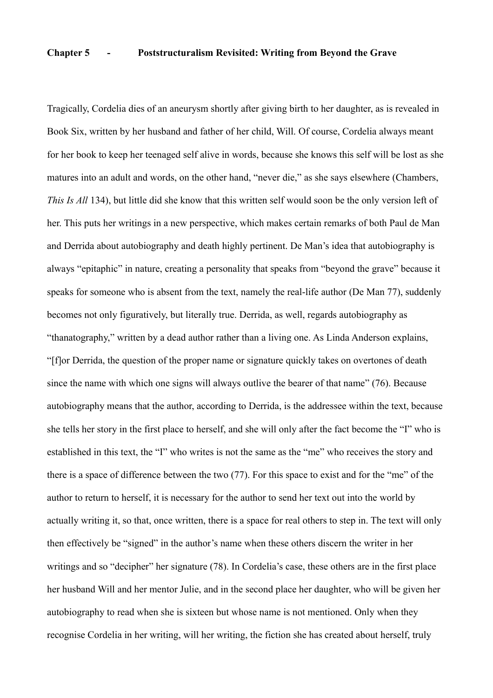### **Chapter 5 - Poststructuralism Revisited: Writing from Beyond the Grave**

Tragically, Cordelia dies of an aneurysm shortly after giving birth to her daughter, as is revealed in Book Six, written by her husband and father of her child, Will. Of course, Cordelia always meant for her book to keep her teenaged self alive in words, because she knows this self will be lost as she matures into an adult and words, on the other hand, "never die," as she says elsewhere (Chambers, *This Is All* 134), but little did she know that this written self would soon be the only version left of her. This puts her writings in a new perspective, which makes certain remarks of both Paul de Man and Derrida about autobiography and death highly pertinent. De Man's idea that autobiography is always "epitaphic" in nature, creating a personality that speaks from "beyond the grave" because it speaks for someone who is absent from the text, namely the real-life author (De Man 77), suddenly becomes not only figuratively, but literally true. Derrida, as well, regards autobiography as "thanatography," written by a dead author rather than a living one. As Linda Anderson explains, "[f]or Derrida, the question of the proper name or signature quickly takes on overtones of death since the name with which one signs will always outlive the bearer of that name" (76). Because autobiography means that the author, according to Derrida, is the addressee within the text, because she tells her story in the first place to herself, and she will only after the fact become the "I" who is established in this text, the "I" who writes is not the same as the "me" who receives the story and there is a space of difference between the two (77). For this space to exist and for the "me" of the author to return to herself, it is necessary for the author to send her text out into the world by actually writing it, so that, once written, there is a space for real others to step in. The text will only then effectively be "signed" in the author's name when these others discern the writer in her writings and so "decipher" her signature (78). In Cordelia's case, these others are in the first place her husband Will and her mentor Julie, and in the second place her daughter, who will be given her autobiography to read when she is sixteen but whose name is not mentioned. Only when they recognise Cordelia in her writing, will her writing, the fiction she has created about herself, truly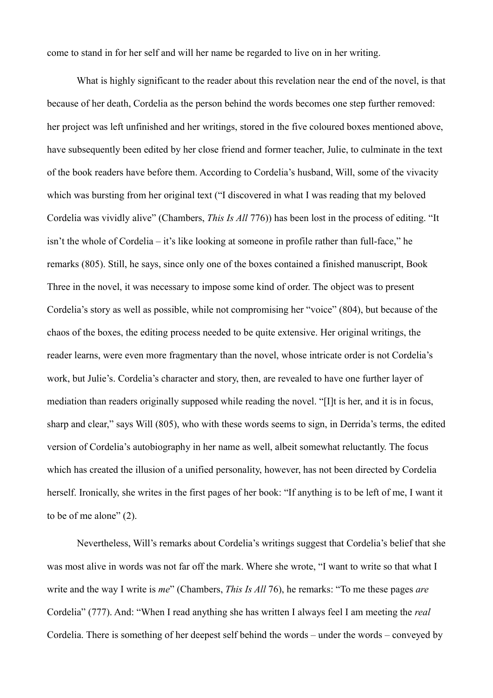come to stand in for her self and will her name be regarded to live on in her writing.

 What is highly significant to the reader about this revelation near the end of the novel, is that because of her death, Cordelia as the person behind the words becomes one step further removed: her project was left unfinished and her writings, stored in the five coloured boxes mentioned above, have subsequently been edited by her close friend and former teacher, Julie, to culminate in the text of the book readers have before them. According to Cordelia's husband, Will, some of the vivacity which was bursting from her original text ("I discovered in what I was reading that my beloved Cordelia was vividly alive" (Chambers, *This Is All* 776)) has been lost in the process of editing. "It isn't the whole of Cordelia – it's like looking at someone in profile rather than full-face," he remarks (805). Still, he says, since only one of the boxes contained a finished manuscript, Book Three in the novel, it was necessary to impose some kind of order. The object was to present Cordelia's story as well as possible, while not compromising her "voice" (804), but because of the chaos of the boxes, the editing process needed to be quite extensive. Her original writings, the reader learns, were even more fragmentary than the novel, whose intricate order is not Cordelia's work, but Julie's. Cordelia's character and story, then, are revealed to have one further layer of mediation than readers originally supposed while reading the novel. "[I]t is her, and it is in focus, sharp and clear," says Will (805), who with these words seems to sign, in Derrida's terms, the edited version of Cordelia's autobiography in her name as well, albeit somewhat reluctantly. The focus which has created the illusion of a unified personality, however, has not been directed by Cordelia herself. Ironically, she writes in the first pages of her book: "If anything is to be left of me, I want it to be of me alone" (2).

 Nevertheless, Will's remarks about Cordelia's writings suggest that Cordelia's belief that she was most alive in words was not far off the mark. Where she wrote, "I want to write so that what I write and the way I write is *me*" (Chambers, *This Is All* 76), he remarks: "To me these pages *are* Cordelia" (777). And: "When I read anything she has written I always feel I am meeting the *real* Cordelia. There is something of her deepest self behind the words – under the words – conveyed by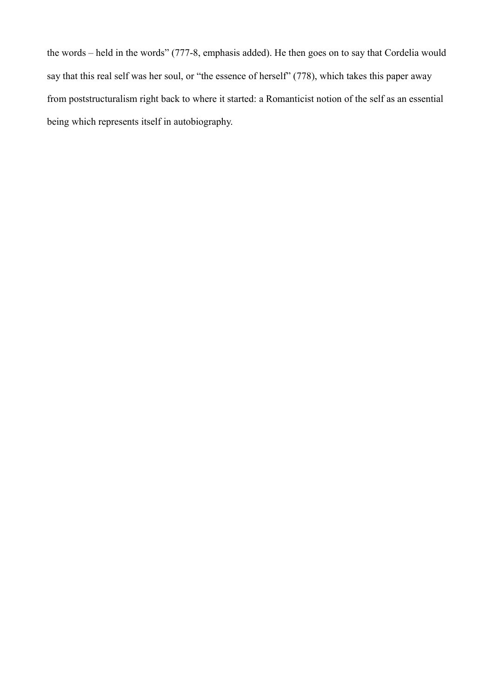the words – held in the words" (777-8, emphasis added). He then goes on to say that Cordelia would say that this real self was her soul, or "the essence of herself" (778), which takes this paper away from poststructuralism right back to where it started: a Romanticist notion of the self as an essential being which represents itself in autobiography.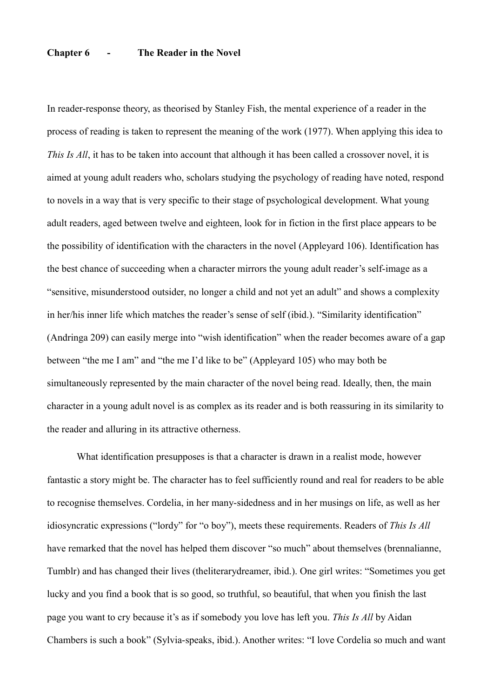# **Chapter 6 - The Reader in the Novel**

In reader-response theory, as theorised by Stanley Fish, the mental experience of a reader in the process of reading is taken to represent the meaning of the work (1977). When applying this idea to *This Is All*, it has to be taken into account that although it has been called a crossover novel, it is aimed at young adult readers who, scholars studying the psychology of reading have noted, respond to novels in a way that is very specific to their stage of psychological development. What young adult readers, aged between twelve and eighteen, look for in fiction in the first place appears to be the possibility of identification with the characters in the novel (Appleyard 106). Identification has the best chance of succeeding when a character mirrors the young adult reader's self-image as a "sensitive, misunderstood outsider, no longer a child and not yet an adult" and shows a complexity in her/his inner life which matches the reader's sense of self (ibid.). "Similarity identification" (Andringa 209) can easily merge into "wish identification" when the reader becomes aware of a gap between "the me I am" and "the me I'd like to be" (Appleyard 105) who may both be simultaneously represented by the main character of the novel being read. Ideally, then, the main character in a young adult novel is as complex as its reader and is both reassuring in its similarity to the reader and alluring in its attractive otherness.

 What identification presupposes is that a character is drawn in a realist mode, however fantastic a story might be. The character has to feel sufficiently round and real for readers to be able to recognise themselves. Cordelia, in her many-sidedness and in her musings on life, as well as her idiosyncratic expressions ("lordy" for "o boy"), meets these requirements. Readers of *This Is All* have remarked that the novel has helped them discover "so much" about themselves (brennalianne, Tumblr) and has changed their lives (theliterarydreamer, ibid.). One girl writes: "Sometimes you get lucky and you find a book that is so good, so truthful, so beautiful, that when you finish the last page you want to cry because it's as if somebody you love has left you. *This Is All* by Aidan Chambers is such a book" (Sylvia-speaks, ibid.). Another writes: "I love Cordelia so much and want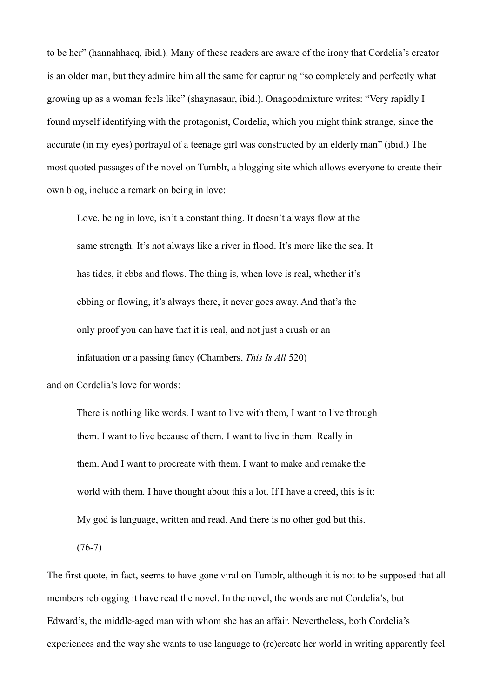to be her" (hannahhacq, ibid.). Many of these readers are aware of the irony that Cordelia's creator is an older man, but they admire him all the same for capturing "so completely and perfectly what growing up as a woman feels like" (shaynasaur, ibid.). Onagoodmixture writes: "Very rapidly I found myself identifying with the protagonist, Cordelia, which you might think strange, since the accurate (in my eyes) portrayal of a teenage girl was constructed by an elderly man" (ibid.) The most quoted passages of the novel on Tumblr, a blogging site which allows everyone to create their own blog, include a remark on being in love:

 Love, being in love, isn't a constant thing. It doesn't always flow at the same strength. It's not always like a river in flood. It's more like the sea. It has tides, it ebbs and flows. The thing is, when love is real, whether it's ebbing or flowing, it's always there, it never goes away. And that's the only proof you can have that it is real, and not just a crush or an infatuation or a passing fancy (Chambers, *This Is All* 520)

and on Cordelia's love for words:

 There is nothing like words. I want to live with them, I want to live through them. I want to live because of them. I want to live in them. Really in them. And I want to procreate with them. I want to make and remake the world with them. I have thought about this a lot. If I have a creed, this is it: My god is language, written and read. And there is no other god but this.

 $(76-7)$ 

The first quote, in fact, seems to have gone viral on Tumblr, although it is not to be supposed that all members reblogging it have read the novel. In the novel, the words are not Cordelia's, but Edward's, the middle-aged man with whom she has an affair. Nevertheless, both Cordelia's experiences and the way she wants to use language to (re)create her world in writing apparently feel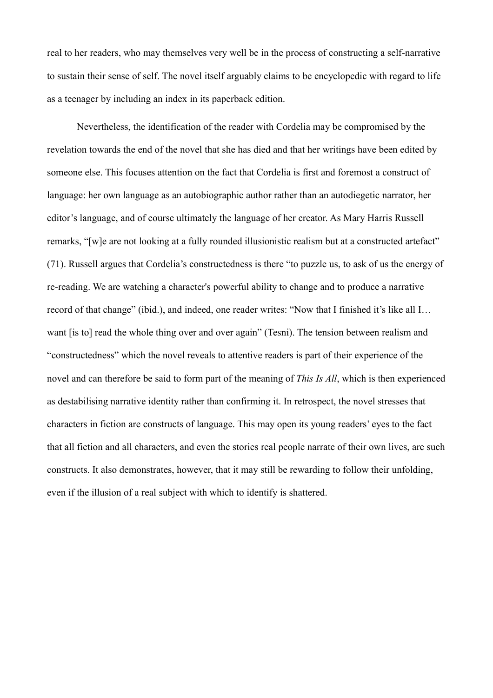real to her readers, who may themselves very well be in the process of constructing a self-narrative to sustain their sense of self. The novel itself arguably claims to be encyclopedic with regard to life as a teenager by including an index in its paperback edition.

 Nevertheless, the identification of the reader with Cordelia may be compromised by the revelation towards the end of the novel that she has died and that her writings have been edited by someone else. This focuses attention on the fact that Cordelia is first and foremost a construct of language: her own language as an autobiographic author rather than an autodiegetic narrator, her editor's language, and of course ultimately the language of her creator. As Mary Harris Russell remarks, "[w]e are not looking at a fully rounded illusionistic realism but at a constructed artefact" (71). Russell argues that Cordelia's constructedness is there "to puzzle us, to ask of us the energy of re-reading. We are watching a character's powerful ability to change and to produce a narrative record of that change" (ibid.), and indeed, one reader writes: "Now that I finished it's like all I… want [is to] read the whole thing over and over again" (Tesni). The tension between realism and "constructedness" which the novel reveals to attentive readers is part of their experience of the novel and can therefore be said to form part of the meaning of *This Is All*, which is then experienced as destabilising narrative identity rather than confirming it. In retrospect, the novel stresses that characters in fiction are constructs of language. This may open its young readers' eyes to the fact that all fiction and all characters, and even the stories real people narrate of their own lives, are such constructs. It also demonstrates, however, that it may still be rewarding to follow their unfolding, even if the illusion of a real subject with which to identify is shattered.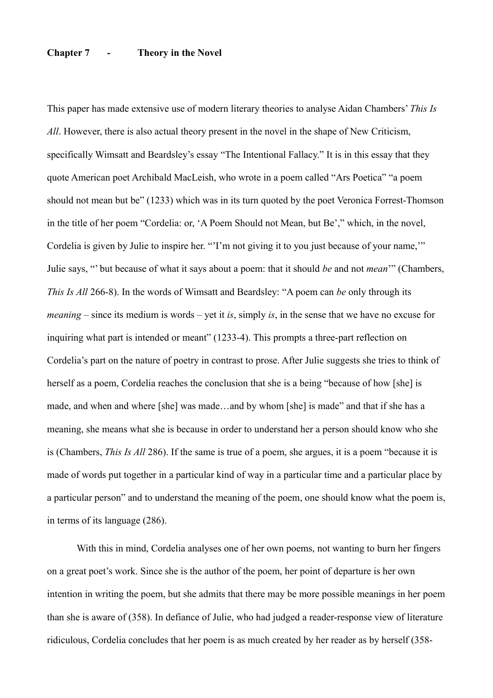# **Chapter 7 - Theory in the Novel**

This paper has made extensive use of modern literary theories to analyse Aidan Chambers' *This Is All*. However, there is also actual theory present in the novel in the shape of New Criticism, specifically Wimsatt and Beardsley's essay "The Intentional Fallacy." It is in this essay that they quote American poet Archibald MacLeish, who wrote in a poem called "Ars Poetica" "a poem should not mean but be" (1233) which was in its turn quoted by the poet Veronica Forrest-Thomson in the title of her poem "Cordelia: or, 'A Poem Should not Mean, but Be'," which, in the novel, Cordelia is given by Julie to inspire her. "'I'm not giving it to you just because of your name,'" Julie says, "' but because of what it says about a poem: that it should *be* and not *mean*'" (Chambers, *This Is All* 266-8). In the words of Wimsatt and Beardsley: "A poem can *be* only through its *meaning* – since its medium is words – yet it *is*, simply *is*, in the sense that we have no excuse for inquiring what part is intended or meant" (1233-4). This prompts a three-part reflection on Cordelia's part on the nature of poetry in contrast to prose. After Julie suggests she tries to think of herself as a poem, Cordelia reaches the conclusion that she is a being "because of how [she] is made, and when and where [she] was made…and by whom [she] is made" and that if she has a meaning, she means what she is because in order to understand her a person should know who she is (Chambers, *This Is All* 286). If the same is true of a poem, she argues, it is a poem "because it is made of words put together in a particular kind of way in a particular time and a particular place by a particular person" and to understand the meaning of the poem, one should know what the poem is, in terms of its language (286).

 With this in mind, Cordelia analyses one of her own poems, not wanting to burn her fingers on a great poet's work. Since she is the author of the poem, her point of departure is her own intention in writing the poem, but she admits that there may be more possible meanings in her poem than she is aware of (358). In defiance of Julie, who had judged a reader-response view of literature ridiculous, Cordelia concludes that her poem is as much created by her reader as by herself (358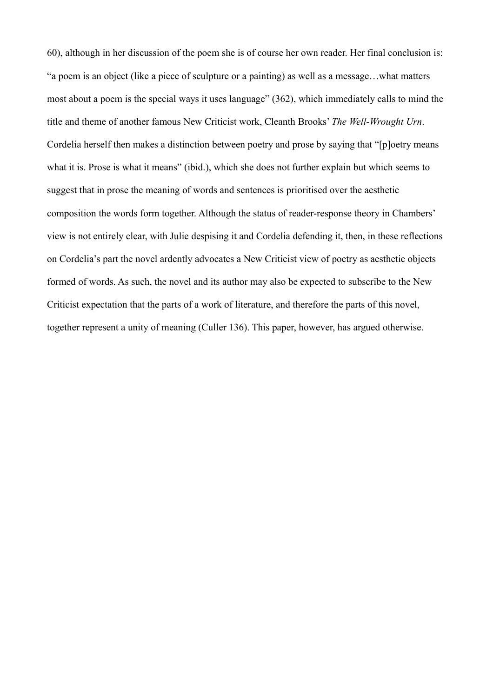60), although in her discussion of the poem she is of course her own reader. Her final conclusion is: "a poem is an object (like a piece of sculpture or a painting) as well as a message…what matters most about a poem is the special ways it uses language" (362), which immediately calls to mind the title and theme of another famous New Criticist work, Cleanth Brooks' *The Well-Wrought Urn*. Cordelia herself then makes a distinction between poetry and prose by saying that "[p]oetry means what it is. Prose is what it means" (ibid.), which she does not further explain but which seems to suggest that in prose the meaning of words and sentences is prioritised over the aesthetic composition the words form together. Although the status of reader-response theory in Chambers' view is not entirely clear, with Julie despising it and Cordelia defending it, then, in these reflections on Cordelia's part the novel ardently advocates a New Criticist view of poetry as aesthetic objects formed of words. As such, the novel and its author may also be expected to subscribe to the New Criticist expectation that the parts of a work of literature, and therefore the parts of this novel, together represent a unity of meaning (Culler 136). This paper, however, has argued otherwise.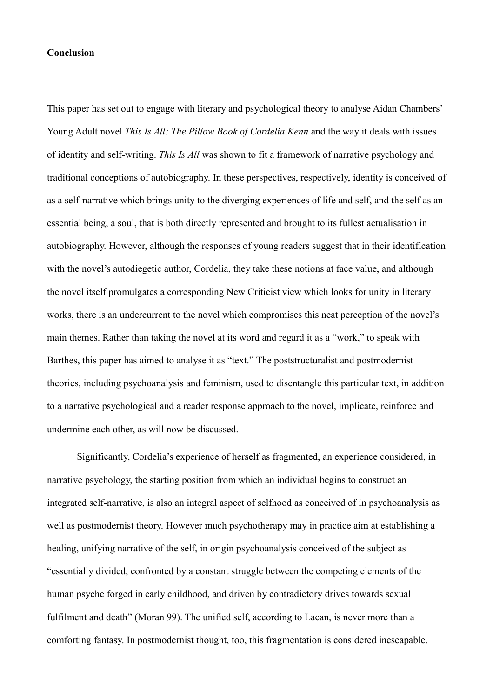### **Conclusion**

This paper has set out to engage with literary and psychological theory to analyse Aidan Chambers' Young Adult novel *This Is All: The Pillow Book of Cordelia Kenn* and the way it deals with issues of identity and self-writing. *This Is All* was shown to fit a framework of narrative psychology and traditional conceptions of autobiography. In these perspectives, respectively, identity is conceived of as a self-narrative which brings unity to the diverging experiences of life and self, and the self as an essential being, a soul, that is both directly represented and brought to its fullest actualisation in autobiography. However, although the responses of young readers suggest that in their identification with the novel's autodiegetic author, Cordelia, they take these notions at face value, and although the novel itself promulgates a corresponding New Criticist view which looks for unity in literary works, there is an undercurrent to the novel which compromises this neat perception of the novel's main themes. Rather than taking the novel at its word and regard it as a "work," to speak with Barthes, this paper has aimed to analyse it as "text." The poststructuralist and postmodernist theories, including psychoanalysis and feminism, used to disentangle this particular text, in addition to a narrative psychological and a reader response approach to the novel, implicate, reinforce and undermine each other, as will now be discussed.

 Significantly, Cordelia's experience of herself as fragmented, an experience considered, in narrative psychology, the starting position from which an individual begins to construct an integrated self-narrative, is also an integral aspect of selfhood as conceived of in psychoanalysis as well as postmodernist theory. However much psychotherapy may in practice aim at establishing a healing, unifying narrative of the self, in origin psychoanalysis conceived of the subject as "essentially divided, confronted by a constant struggle between the competing elements of the human psyche forged in early childhood, and driven by contradictory drives towards sexual fulfilment and death" (Moran 99). The unified self, according to Lacan, is never more than a comforting fantasy. In postmodernist thought, too, this fragmentation is considered inescapable.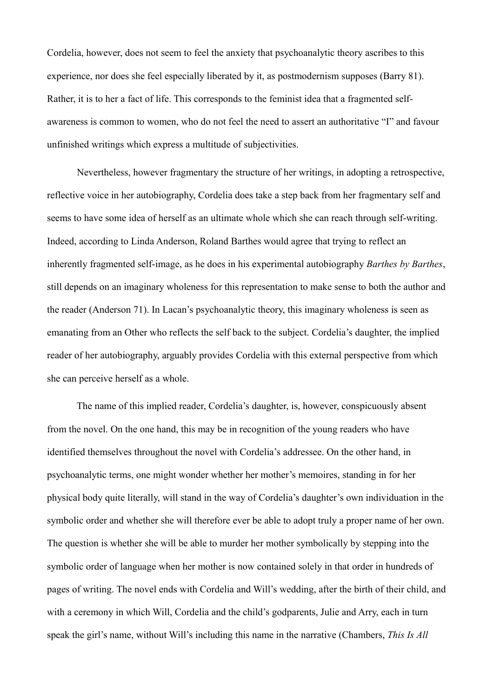Cordelia, however, does not seem to feel the anxiety that psychoanalytic theory ascribes to this experience, nor does she feel especially liberated by it, as postmodernism supposes (Barry 81). Rather, it is to her a fact of life. This corresponds to the feminist idea that a fragmented selfawareness is common to women, who do not feel the need to assert an authoritative "I" and favour unfinished writings which express a multitude of subjectivities.

 Nevertheless, however fragmentary the structure of her writings, in adopting a retrospective, reflective voice in her autobiography, Cordelia does take a step back from her fragmentary self and seems to have some idea of herself as an ultimate whole which she can reach through self-writing. Indeed, according to Linda Anderson, Roland Barthes would agree that trying to reflect an inherently fragmented self-image, as he does in his experimental autobiography *Barthes by Barthes*, still depends on an imaginary wholeness for this representation to make sense to both the author and the reader (Anderson 71). In Lacan's psychoanalytic theory, this imaginary wholeness is seen as emanating from an Other who reflects the self back to the subject. Cordelia's daughter, the implied reader of her autobiography, arguably provides Cordelia with this external perspective from which she can perceive herself as a whole.

 The name of this implied reader, Cordelia's daughter, is, however, conspicuously absent from the novel. On the one hand, this may be in recognition of the young readers who have identified themselves throughout the novel with Cordelia's addressee. On the other hand, in psychoanalytic terms, one might wonder whether her mother's memoires, standing in for her physical body quite literally, will stand in the way of Cordelia's daughter's own individuation in the symbolic order and whether she will therefore ever be able to adopt truly a proper name of her own. The question is whether she will be able to murder her mother symbolically by stepping into the symbolic order of language when her mother is now contained solely in that order in hundreds of pages of writing. The novel ends with Cordelia and Will's wedding, after the birth of their child, and with a ceremony in which Will, Cordelia and the child's godparents, Julie and Arry, each in turn speak the girl's name, without Will's including this name in the narrative (Chambers, *This Is All*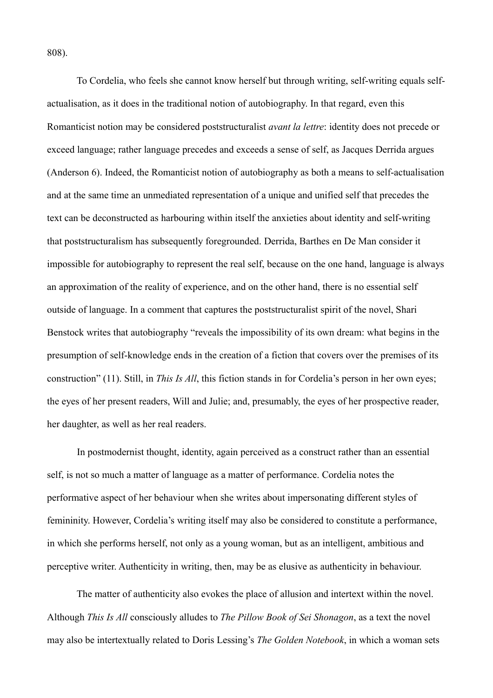808).

 To Cordelia, who feels she cannot know herself but through writing, self-writing equals selfactualisation, as it does in the traditional notion of autobiography. In that regard, even this Romanticist notion may be considered poststructuralist *avant la lettre*: identity does not precede or exceed language; rather language precedes and exceeds a sense of self, as Jacques Derrida argues (Anderson 6). Indeed, the Romanticist notion of autobiography as both a means to self-actualisation and at the same time an unmediated representation of a unique and unified self that precedes the text can be deconstructed as harbouring within itself the anxieties about identity and self-writing that poststructuralism has subsequently foregrounded. Derrida, Barthes en De Man consider it impossible for autobiography to represent the real self, because on the one hand, language is always an approximation of the reality of experience, and on the other hand, there is no essential self outside of language. In a comment that captures the poststructuralist spirit of the novel, Shari Benstock writes that autobiography "reveals the impossibility of its own dream: what begins in the presumption of self-knowledge ends in the creation of a fiction that covers over the premises of its construction" (11). Still, in *This Is All*, this fiction stands in for Cordelia's person in her own eyes; the eyes of her present readers, Will and Julie; and, presumably, the eyes of her prospective reader, her daughter, as well as her real readers.

 In postmodernist thought, identity, again perceived as a construct rather than an essential self, is not so much a matter of language as a matter of performance. Cordelia notes the performative aspect of her behaviour when she writes about impersonating different styles of femininity. However, Cordelia's writing itself may also be considered to constitute a performance, in which she performs herself, not only as a young woman, but as an intelligent, ambitious and perceptive writer. Authenticity in writing, then, may be as elusive as authenticity in behaviour.

 The matter of authenticity also evokes the place of allusion and intertext within the novel. Although *This Is All* consciously alludes to *The Pillow Book of Sei Shonagon*, as a text the novel may also be intertextually related to Doris Lessing's *The Golden Notebook*, in which a woman sets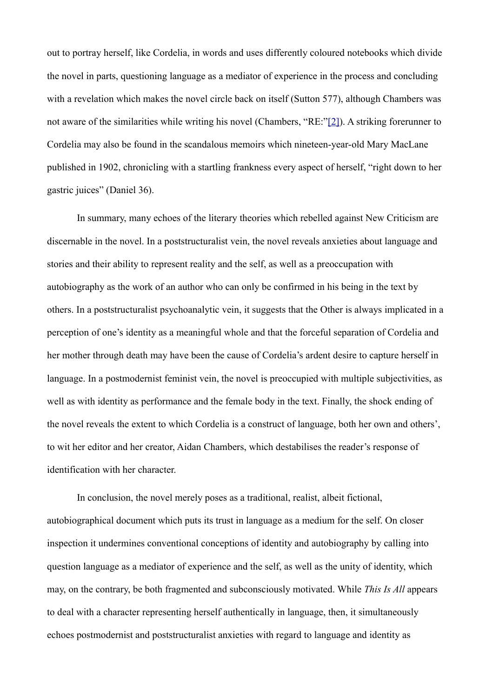<span id="page-30-0"></span>out to portray herself, like Cordelia, in words and uses differently coloured notebooks which divide the novel in parts, questioning language as a mediator of experience in the process and concluding with a revelation which makes the novel circle back on itself (Sutton 577), although Chambers was not aware of the similarities while writing his novel (Chambers, "RE:["\[2\]\)](#page-35-1). A striking forerunner to Cordelia may also be found in the scandalous memoirs which nineteen-year-old Mary MacLane published in 1902, chronicling with a startling frankness every aspect of herself, "right down to her gastric juices" (Daniel 36).

 In summary, many echoes of the literary theories which rebelled against New Criticism are discernable in the novel. In a poststructuralist vein, the novel reveals anxieties about language and stories and their ability to represent reality and the self, as well as a preoccupation with autobiography as the work of an author who can only be confirmed in his being in the text by others. In a poststructuralist psychoanalytic vein, it suggests that the Other is always implicated in a perception of one's identity as a meaningful whole and that the forceful separation of Cordelia and her mother through death may have been the cause of Cordelia's ardent desire to capture herself in language. In a postmodernist feminist vein, the novel is preoccupied with multiple subjectivities, as well as with identity as performance and the female body in the text. Finally, the shock ending of the novel reveals the extent to which Cordelia is a construct of language, both her own and others', to wit her editor and her creator, Aidan Chambers, which destabilises the reader's response of identification with her character.

 In conclusion, the novel merely poses as a traditional, realist, albeit fictional, autobiographical document which puts its trust in language as a medium for the self. On closer inspection it undermines conventional conceptions of identity and autobiography by calling into question language as a mediator of experience and the self, as well as the unity of identity, which may, on the contrary, be both fragmented and subconsciously motivated. While *This Is All* appears to deal with a character representing herself authentically in language, then, it simultaneously echoes postmodernist and poststructuralist anxieties with regard to language and identity as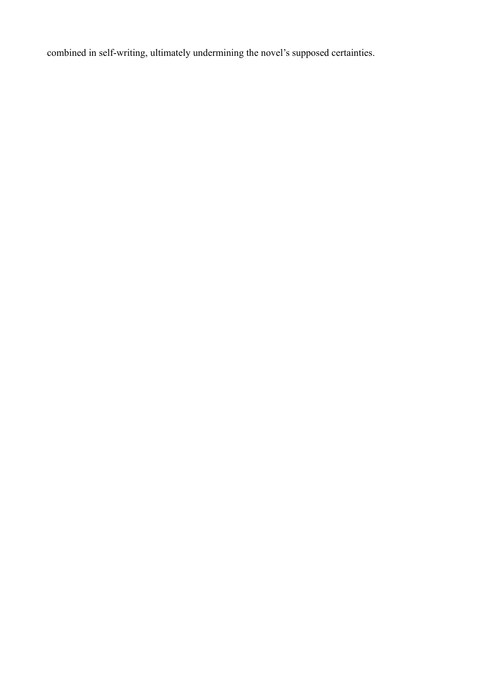combined in self-writing, ultimately undermining the novel's supposed certainties.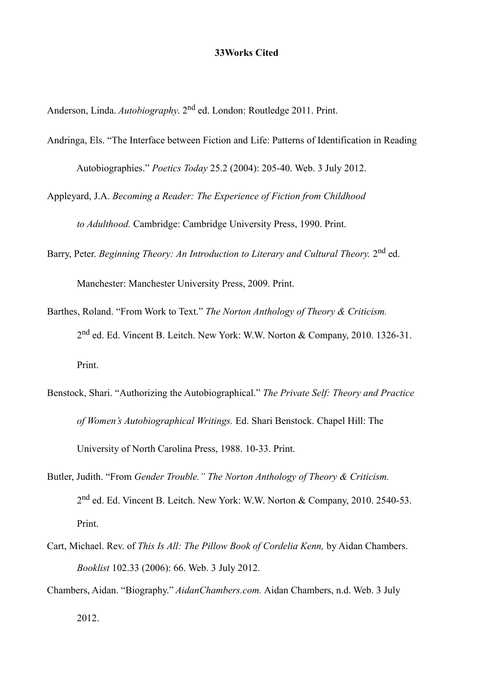#### **33Works Cited**

Anderson, Linda. *Autobiography*. 2nd ed. London: Routledge 2011. Print.

- Andringa, Els. "The Interface between Fiction and Life: Patterns of Identification in Reading Autobiographies." *Poetics Today* 25.2 (2004): 205-40. Web. 3 July 2012.
- Appleyard, J.A. *Becoming a Reader: The Experience of Fiction from Childhood to Adulthood.* Cambridge: Cambridge University Press, 1990. Print.

Barry, Peter. *Beginning Theory: An Introduction to Literary and Cultural Theory.* 2nd ed.

Manchester: Manchester University Press, 2009. Print.

- Barthes, Roland. "From Work to Text." *The Norton Anthology of Theory & Criticism.* 2nd ed. Ed. Vincent B. Leitch. New York: W.W. Norton & Company, 2010. 1326-31. Print.
- Benstock, Shari. "Authorizing the Autobiographical." *The Private Self: Theory and Practice of Women's Autobiographical Writings.* Ed. Shari Benstock. Chapel Hill: The University of North Carolina Press, 1988. 10-33. Print.
- Butler, Judith. "From *Gender Trouble." The Norton Anthology of Theory & Criticism.* 2nd ed. Ed. Vincent B. Leitch. New York: W.W. Norton & Company, 2010. 2540-53. Print.
- Cart, Michael. Rev. of *This Is All: The Pillow Book of Cordelia Kenn,* by Aidan Chambers. *Booklist* 102.33 (2006): 66. Web. 3 July 2012.
- Chambers, Aidan. "Biography." *AidanChambers.com.* Aidan Chambers, n.d. Web. 3 July 2012.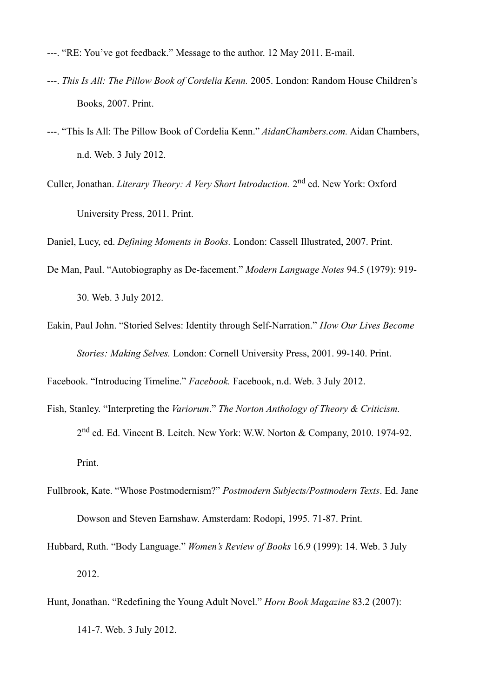- ---. "RE: You've got feedback." Message to the author. 12 May 2011. E-mail.
- ---. *This Is All: The Pillow Book of Cordelia Kenn.* 2005. London: Random House Children's Books, 2007. Print.
- ---. "This Is All: The Pillow Book of Cordelia Kenn." *AidanChambers.com.* Aidan Chambers, n.d. Web. 3 July 2012.
- Culler, Jonathan. *Literary Theory: A Very Short Introduction.* 2nd ed. New York: Oxford University Press, 2011. Print.

Daniel, Lucy, ed. *Defining Moments in Books.* London: Cassell Illustrated, 2007. Print.

- De Man, Paul. "Autobiography as De-facement." *Modern Language Notes* 94.5 (1979): 919- 30. Web. 3 July 2012.
- Eakin, Paul John. "Storied Selves: Identity through Self-Narration." *How Our Lives Become Stories: Making Selves.* London: Cornell University Press, 2001. 99-140. Print.

Facebook. "Introducing Timeline." *Facebook.* Facebook, n.d. Web. 3 July 2012.

- Fish, Stanley. "Interpreting the *Variorum*." *The Norton Anthology of Theory & Criticism.* 2nd ed. Ed. Vincent B. Leitch. New York: W.W. Norton & Company, 2010. 1974-92. Print.
- Fullbrook, Kate. "Whose Postmodernism?" *Postmodern Subjects/Postmodern Texts*. Ed. Jane Dowson and Steven Earnshaw. Amsterdam: Rodopi, 1995. 71-87. Print.
- Hubbard, Ruth. "Body Language." *Women's Review of Books* 16.9 (1999): 14. Web. 3 July 2012.
- Hunt, Jonathan. "Redefining the Young Adult Novel." *Horn Book Magazine* 83.2 (2007): 141-7. Web. 3 July 2012.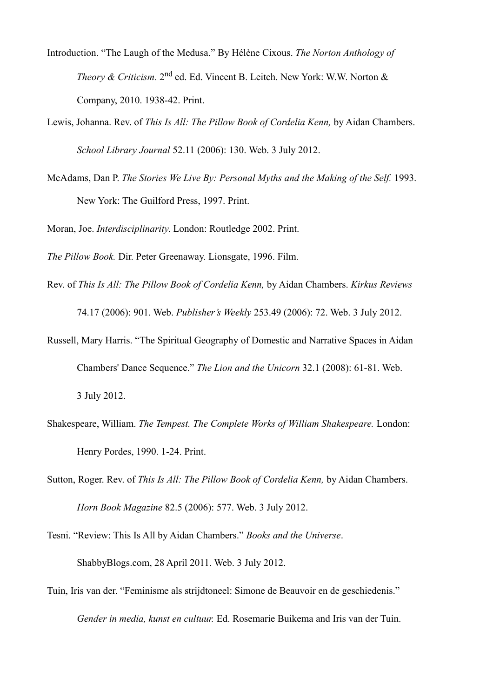- Introduction. "The Laugh of the Medusa." By Hélène Cixous. *The Norton Anthology of* Theory & Criticism. 2<sup>nd</sup> ed. Ed. Vincent B. Leitch. New York: W.W. Norton & Company, 2010. 1938-42. Print.
- Lewis, Johanna. Rev. of *This Is All: The Pillow Book of Cordelia Kenn,* by Aidan Chambers. *School Library Journal* 52.11 (2006): 130. Web. 3 July 2012.
- McAdams, Dan P. *The Stories We Live By: Personal Myths and the Making of the Self.* 1993. New York: The Guilford Press, 1997. Print.

Moran, Joe. *Interdisciplinarity*. London: Routledge 2002. Print.

*The Pillow Book.* Dir. Peter Greenaway. Lionsgate, 1996. Film.

- Rev. of *This Is All: The Pillow Book of Cordelia Kenn,* by Aidan Chambers. *Kirkus Reviews*  74.17 (2006): 901. Web. *Publisher's Weekly* 253.49 (2006): 72. Web. 3 July 2012.
- Russell, Mary Harris. "The Spiritual Geography of Domestic and Narrative Spaces in Aidan Chambers' Dance Sequence." *The Lion and the Unicorn* 32.1 (2008): 61-81. Web. 3 July 2012.
- Shakespeare, William. *The Tempest. The Complete Works of William Shakespeare.* London: Henry Pordes, 1990. 1-24. Print.
- Sutton, Roger. Rev. of *This Is All: The Pillow Book of Cordelia Kenn*, by Aidan Chambers. *Horn Book Magazine* 82.5 (2006): 577. Web. 3 July 2012.
- Tesni. "Review: This Is All by Aidan Chambers." *Books and the Universe*. ShabbyBlogs.com, 28 April 2011. Web. 3 July 2012.
- Tuin, Iris van der. "Feminisme als strijdtoneel: Simone de Beauvoir en de geschiedenis." *Gender in media, kunst en cultuur.* Ed. Rosemarie Buikema and Iris van der Tuin.